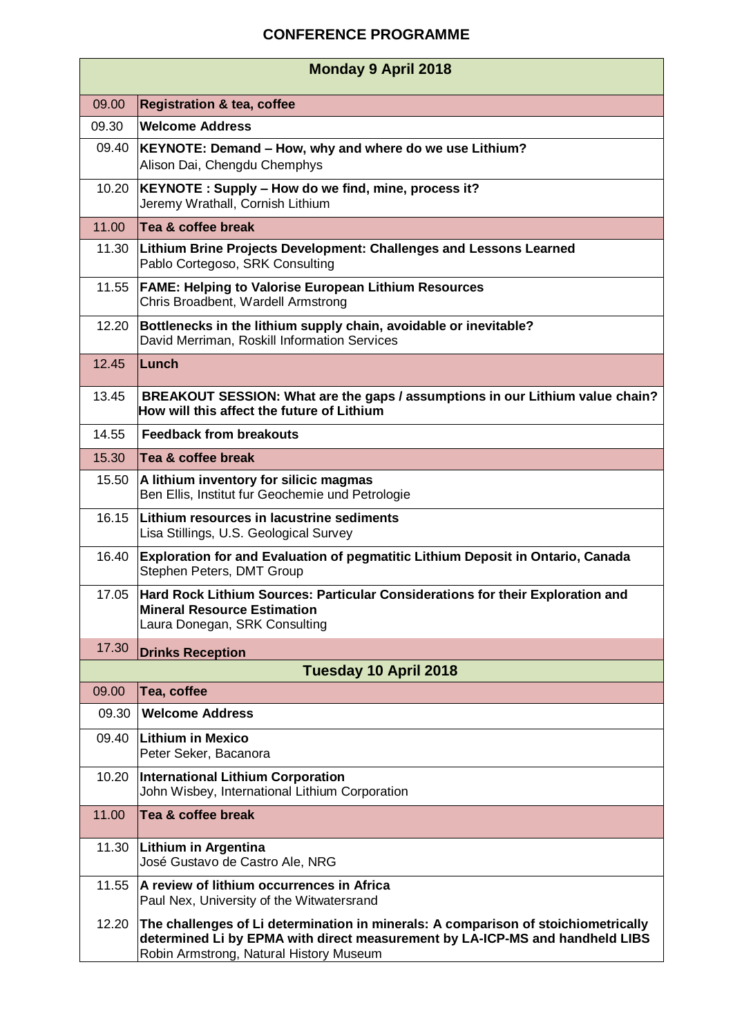## **CONFERENCE PROGRAMME**

| <b>Monday 9 April 2018</b> |                                                                                                                                                                                                               |  |
|----------------------------|---------------------------------------------------------------------------------------------------------------------------------------------------------------------------------------------------------------|--|
| 09.00                      | <b>Registration &amp; tea, coffee</b>                                                                                                                                                                         |  |
| 09.30                      | <b>Welcome Address</b>                                                                                                                                                                                        |  |
| 09.40                      | KEYNOTE: Demand - How, why and where do we use Lithium?<br>Alison Dai, Chengdu Chemphys                                                                                                                       |  |
| 10.20                      | KEYNOTE: Supply - How do we find, mine, process it?<br>Jeremy Wrathall, Cornish Lithium                                                                                                                       |  |
| 11.00                      | Tea & coffee break                                                                                                                                                                                            |  |
| 11.30                      | Lithium Brine Projects Development: Challenges and Lessons Learned<br>Pablo Cortegoso, SRK Consulting                                                                                                         |  |
| 11.55                      | <b>FAME: Helping to Valorise European Lithium Resources</b><br>Chris Broadbent, Wardell Armstrong                                                                                                             |  |
| 12.20                      | Bottlenecks in the lithium supply chain, avoidable or inevitable?<br>David Merriman, Roskill Information Services                                                                                             |  |
| 12.45                      | Lunch                                                                                                                                                                                                         |  |
| 13.45                      | BREAKOUT SESSION: What are the gaps / assumptions in our Lithium value chain?<br>How will this affect the future of Lithium                                                                                   |  |
| 14.55                      | <b>Feedback from breakouts</b>                                                                                                                                                                                |  |
| 15.30                      | Tea & coffee break                                                                                                                                                                                            |  |
| 15.50                      | A lithium inventory for silicic magmas<br>Ben Ellis, Institut fur Geochemie und Petrologie                                                                                                                    |  |
| 16.15                      | Lithium resources in lacustrine sediments<br>Lisa Stillings, U.S. Geological Survey                                                                                                                           |  |
| 16.40                      | Exploration for and Evaluation of pegmatitic Lithium Deposit in Ontario, Canada<br>Stephen Peters, DMT Group                                                                                                  |  |
| 17.05                      | Hard Rock Lithium Sources: Particular Considerations for their Exploration and<br><b>Mineral Resource Estimation</b><br>Laura Donegan, SRK Consulting                                                         |  |
| 17.30                      | <b>Drinks Reception</b>                                                                                                                                                                                       |  |
| Tuesday 10 April 2018      |                                                                                                                                                                                                               |  |
| 09.00                      | Tea, coffee                                                                                                                                                                                                   |  |
| 09.30                      | <b>Welcome Address</b>                                                                                                                                                                                        |  |
| 09.40                      | <b>Lithium in Mexico</b><br>Peter Seker, Bacanora                                                                                                                                                             |  |
| 10.20                      | <b>International Lithium Corporation</b><br>John Wisbey, International Lithium Corporation                                                                                                                    |  |
| 11.00                      | Tea & coffee break                                                                                                                                                                                            |  |
| 11.30                      | <b>Lithium in Argentina</b><br>José Gustavo de Castro Ale, NRG                                                                                                                                                |  |
| 11.55                      | A review of lithium occurrences in Africa<br>Paul Nex, University of the Witwatersrand                                                                                                                        |  |
| 12.20                      | The challenges of Li determination in minerals: A comparison of stoichiometrically<br>determined Li by EPMA with direct measurement by LA-ICP-MS and handheld LIBS<br>Robin Armstrong, Natural History Museum |  |